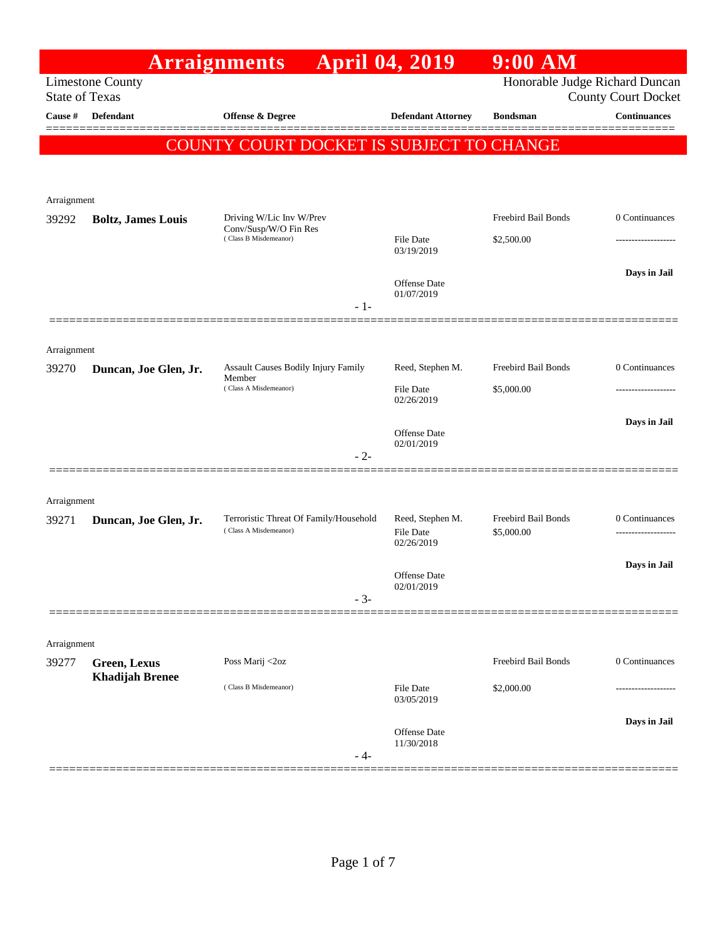|                       |                                        | <b>Arraignments</b>                                             | <b>April 04, 2019</b>                              | $9:00$ AM                         |                     |
|-----------------------|----------------------------------------|-----------------------------------------------------------------|----------------------------------------------------|-----------------------------------|---------------------|
| <b>State of Texas</b> | <b>Limestone County</b>                | Honorable Judge Richard Duncan<br><b>County Court Docket</b>    |                                                    |                                   |                     |
| Cause #               | Defendant                              | Offense & Degree                                                | <b>Defendant Attorney</b>                          | <b>Bondsman</b>                   | <b>Continuances</b> |
|                       |                                        | COUNTY COURT DOCKET IS SUBJECT TO CHANGE                        |                                                    |                                   |                     |
|                       |                                        |                                                                 |                                                    |                                   |                     |
| Arraignment<br>39292  | <b>Boltz, James Louis</b>              | Driving W/Lic Inv W/Prev                                        |                                                    | Freebird Bail Bonds               | 0 Continuances      |
|                       |                                        | Conv/Susp/W/O Fin Res<br>(Class B Misdemeanor)                  | <b>File Date</b><br>03/19/2019                     | \$2,500.00                        |                     |
|                       |                                        | $-1-$                                                           | Offense Date<br>01/07/2019                         |                                   | Days in Jail        |
| Arraignment           |                                        |                                                                 |                                                    |                                   |                     |
| 39270                 | Duncan, Joe Glen, Jr.                  | <b>Assault Causes Bodily Injury Family</b>                      | Reed, Stephen M.                                   | Freebird Bail Bonds               | 0 Continuances      |
|                       |                                        | Member<br>(Class A Misdemeanor)                                 | <b>File Date</b><br>02/26/2019                     | \$5,000.00                        |                     |
|                       |                                        |                                                                 | <b>Offense</b> Date<br>02/01/2019                  |                                   | Days in Jail        |
|                       |                                        | $-2-$                                                           |                                                    |                                   |                     |
| Arraignment           |                                        |                                                                 |                                                    |                                   |                     |
| 39271                 | Duncan, Joe Glen, Jr.                  | Terroristic Threat Of Family/Household<br>(Class A Misdemeanor) | Reed, Stephen M.<br><b>File Date</b><br>02/26/2019 | Freebird Bail Bonds<br>\$5,000.00 | 0 Continuances<br>. |
|                       |                                        |                                                                 | Offense Date                                       |                                   | Days in Jail        |
|                       |                                        | $-3-$                                                           | 02/01/2019                                         |                                   |                     |
| Arraignment           |                                        |                                                                 |                                                    |                                   |                     |
| 39277                 | Green, Lexus<br><b>Khadijah Brenee</b> | Poss Marij <2oz                                                 |                                                    | Freebird Bail Bonds               | 0 Continuances      |
|                       |                                        | (Class B Misdemeanor)                                           | <b>File Date</b><br>03/05/2019                     | \$2,000.00                        |                     |
|                       |                                        | - 4-                                                            | <b>Offense</b> Date<br>11/30/2018                  |                                   | Days in Jail        |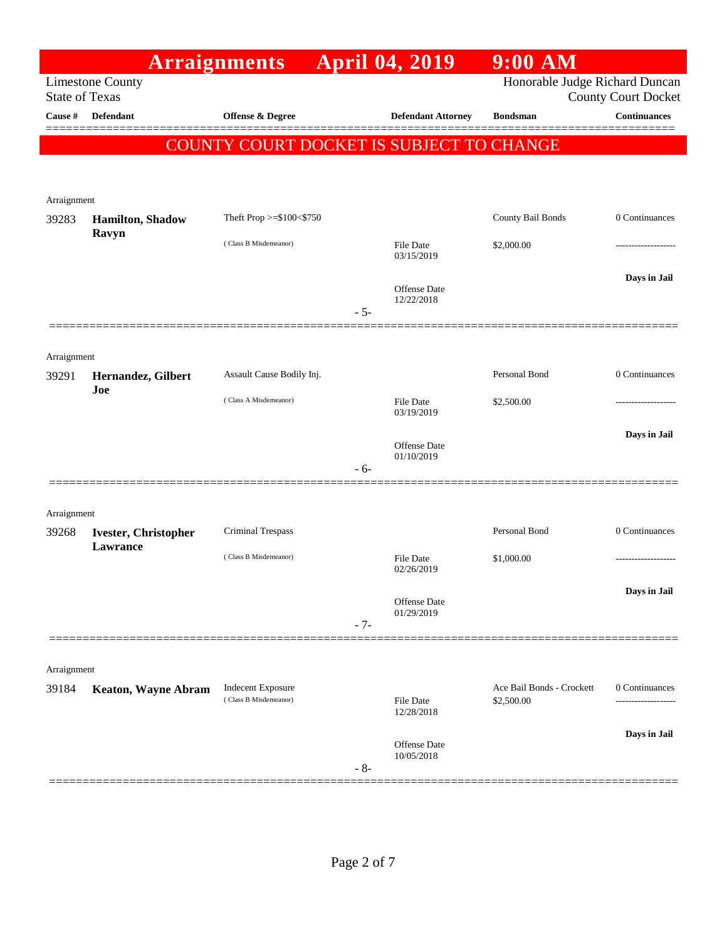|                       | <b>Arraignments</b>                     |                                          |       | <b>April 04, 2019</b>          | $9:00$ AM                      |                            |
|-----------------------|-----------------------------------------|------------------------------------------|-------|--------------------------------|--------------------------------|----------------------------|
| <b>State of Texas</b> | <b>Limestone County</b>                 |                                          |       |                                | Honorable Judge Richard Duncan | <b>County Court Docket</b> |
| Cause #               | <b>Defendant</b>                        | Offense & Degree                         |       | <b>Defendant Attorney</b>      | <b>Bondsman</b>                | <b>Continuances</b>        |
|                       |                                         | COUNTY COURT DOCKET IS SUBJECT TO CHANGE |       |                                |                                |                            |
|                       |                                         |                                          |       |                                |                                |                            |
|                       |                                         |                                          |       |                                |                                |                            |
| Arraignment<br>39283  | Hamilton, Shadow                        | Theft Prop >=\$100<\$750                 |       |                                | County Bail Bonds              | 0 Continuances             |
|                       | Ravyn                                   | (Class B Misdemeanor)                    |       | <b>File Date</b>               | \$2,000.00                     |                            |
|                       |                                         |                                          |       | 03/15/2019                     |                                |                            |
|                       |                                         |                                          |       | Offense Date                   |                                | Days in Jail               |
|                       |                                         |                                          | $-5-$ | 12/22/2018                     |                                |                            |
|                       |                                         |                                          |       |                                |                                |                            |
| Arraignment           |                                         |                                          |       |                                |                                |                            |
| 39291                 | Hernandez, Gilbert                      | Assault Cause Bodily Inj.                |       |                                | Personal Bond                  | 0 Continuances             |
|                       | Joe                                     | (Class A Misdemeanor)                    |       | <b>File Date</b>               | \$2,500.00                     |                            |
|                       |                                         |                                          |       | 03/19/2019                     |                                |                            |
|                       |                                         |                                          |       | Offense Date<br>01/10/2019     |                                | Days in Jail               |
|                       |                                         |                                          | $-6-$ |                                |                                |                            |
|                       |                                         |                                          |       |                                |                                |                            |
| Arraignment           |                                         |                                          |       |                                |                                |                            |
| 39268                 | <b>Ivester, Christopher</b><br>Lawrance | Criminal Trespass                        |       |                                | Personal Bond                  | 0 Continuances             |
|                       |                                         | (Class B Misdemeanor)                    |       | <b>File Date</b><br>02/26/2019 | \$1,000.00                     | .                          |
|                       |                                         |                                          |       |                                |                                | Days in Jail               |
|                       |                                         |                                          |       | Offense Date<br>01/29/2019     |                                |                            |
|                       |                                         |                                          | $-7-$ |                                |                                |                            |
|                       |                                         |                                          |       |                                |                                |                            |
| Arraignment<br>39184  | <b>Keaton, Wayne Abram</b>              | <b>Indecent Exposure</b>                 |       |                                | Ace Bail Bonds - Crockett      | 0 Continuances             |
|                       |                                         | (Class B Misdemeanor)                    |       | <b>File Date</b><br>12/28/2018 | \$2,500.00                     |                            |
|                       |                                         |                                          |       |                                |                                | Days in Jail               |
|                       |                                         |                                          |       | Offense Date<br>10/05/2018     |                                |                            |
|                       |                                         |                                          | $-8-$ |                                |                                |                            |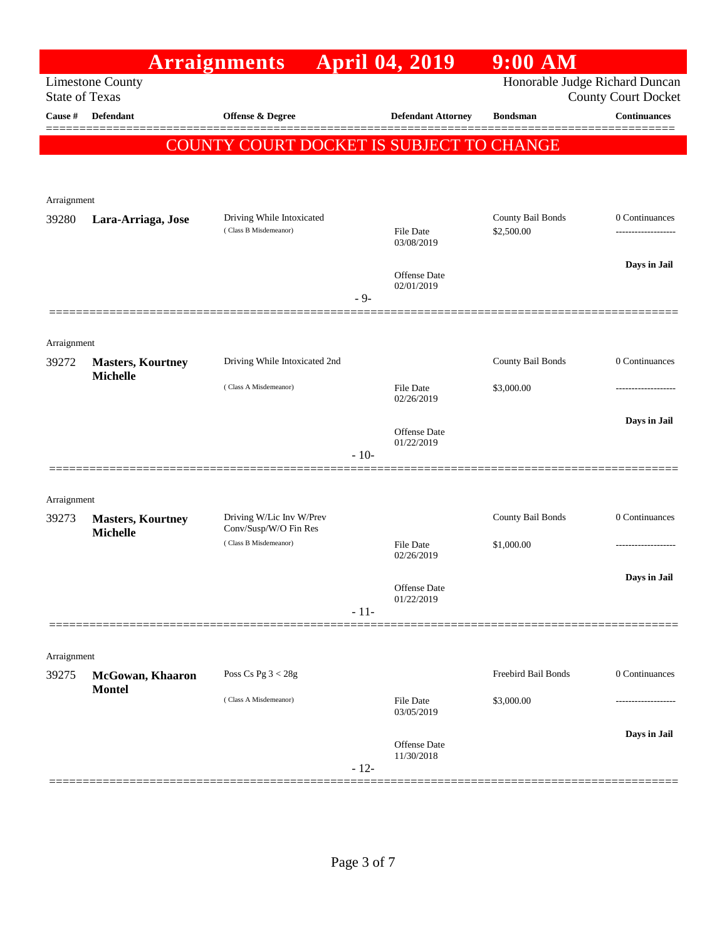|                       |                                   | <b>Arraignments</b>                               |        | <b>April 04, 2019</b>             | $9:00$ AM                      |                            |
|-----------------------|-----------------------------------|---------------------------------------------------|--------|-----------------------------------|--------------------------------|----------------------------|
| <b>State of Texas</b> | <b>Limestone County</b>           |                                                   |        |                                   | Honorable Judge Richard Duncan | <b>County Court Docket</b> |
| Cause #               | <b>Defendant</b>                  | <b>Offense &amp; Degree</b>                       |        | <b>Defendant Attorney</b>         | <b>Bondsman</b>                | <b>Continuances</b>        |
|                       |                                   | COUNTY COURT DOCKET IS SUBJECT TO CHANGE          |        |                                   |                                |                            |
|                       |                                   |                                                   |        |                                   |                                |                            |
|                       |                                   |                                                   |        |                                   |                                |                            |
| Arraignment<br>39280  | Lara-Arriaga, Jose                | Driving While Intoxicated                         |        |                                   | County Bail Bonds              | 0 Continuances             |
|                       |                                   | (Class B Misdemeanor)                             |        | File Date<br>03/08/2019           | \$2,500.00                     | -----------------          |
|                       |                                   |                                                   |        |                                   |                                | Days in Jail               |
|                       |                                   |                                                   |        | Offense Date<br>02/01/2019        |                                |                            |
|                       |                                   |                                                   | $-9-$  |                                   |                                |                            |
|                       |                                   |                                                   |        |                                   |                                |                            |
| Arraignment<br>39272  | <b>Masters, Kourtney</b>          | Driving While Intoxicated 2nd                     |        |                                   | County Bail Bonds              | 0 Continuances             |
|                       | <b>Michelle</b>                   | (Class A Misdemeanor)                             |        | <b>File Date</b>                  | \$3,000.00                     |                            |
|                       |                                   |                                                   |        | 02/26/2019                        |                                |                            |
|                       |                                   |                                                   |        | Offense Date                      |                                | Days in Jail               |
|                       |                                   |                                                   | $-10-$ | 01/22/2019                        |                                |                            |
|                       |                                   |                                                   |        |                                   |                                |                            |
| Arraignment           |                                   |                                                   |        |                                   |                                |                            |
| 39273                 | <b>Masters, Kourtney</b>          | Driving W/Lic Inv W/Prev<br>Conv/Susp/W/O Fin Res |        |                                   | County Bail Bonds              | 0 Continuances             |
|                       | <b>Michelle</b>                   | (Class B Misdemeanor)                             |        | <b>File Date</b>                  | \$1,000.00                     |                            |
|                       |                                   |                                                   |        | 02/26/2019                        |                                |                            |
|                       |                                   |                                                   |        | Offense Date<br>01/22/2019        |                                | Days in Jail               |
|                       |                                   |                                                   | $-11-$ |                                   |                                |                            |
|                       |                                   |                                                   |        |                                   |                                |                            |
| Arraignment           |                                   |                                                   |        |                                   |                                |                            |
| 39275                 | McGowan, Khaaron<br><b>Montel</b> | Poss Cs Pg $3 < 28g$                              |        |                                   | Freebird Bail Bonds            | 0 Continuances             |
|                       |                                   | (Class A Misdemeanor)                             |        | <b>File Date</b><br>03/05/2019    | \$3,000.00                     |                            |
|                       |                                   |                                                   |        |                                   |                                | Days in Jail               |
|                       |                                   |                                                   |        | <b>Offense Date</b><br>11/30/2018 |                                |                            |
|                       |                                   |                                                   | $-12-$ |                                   |                                |                            |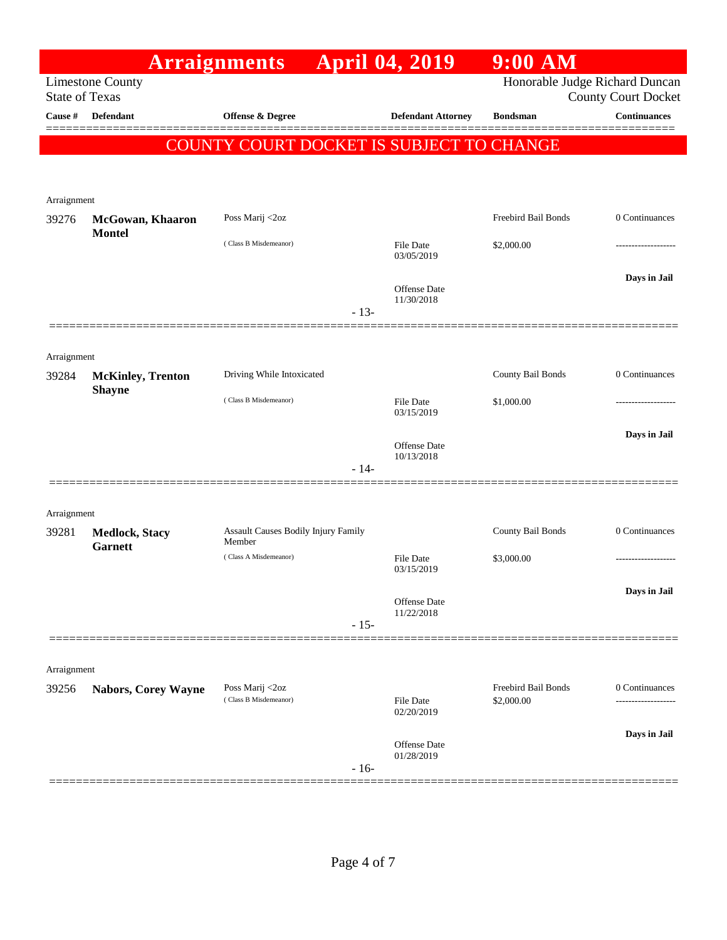|                                                  |                                           | <b>Arraignments</b>                           |        | <b>April 04, 2019</b>          | $9:00$ AM                                                    |                     |
|--------------------------------------------------|-------------------------------------------|-----------------------------------------------|--------|--------------------------------|--------------------------------------------------------------|---------------------|
| <b>Limestone County</b><br><b>State of Texas</b> |                                           |                                               |        |                                | Honorable Judge Richard Duncan<br><b>County Court Docket</b> |                     |
| Cause #                                          | <b>Defendant</b>                          | Offense & Degree                              |        | <b>Defendant Attorney</b>      | <b>Bondsman</b>                                              | <b>Continuances</b> |
|                                                  |                                           | COUNTY COURT DOCKET IS SUBJECT TO CHANGE      |        |                                |                                                              |                     |
|                                                  |                                           |                                               |        |                                |                                                              |                     |
|                                                  |                                           |                                               |        |                                |                                                              |                     |
| Arraignment                                      |                                           |                                               |        |                                | Freebird Bail Bonds                                          | 0 Continuances      |
| 39276                                            | McGowan, Khaaron<br><b>Montel</b>         | Poss Marij <2oz                               |        |                                |                                                              |                     |
|                                                  |                                           | (Class B Misdemeanor)                         |        | <b>File Date</b><br>03/05/2019 | \$2,000.00                                                   |                     |
|                                                  |                                           |                                               |        |                                |                                                              | Days in Jail        |
|                                                  |                                           |                                               |        | Offense Date<br>11/30/2018     |                                                              |                     |
|                                                  |                                           |                                               | $-13-$ |                                |                                                              |                     |
|                                                  |                                           |                                               |        |                                |                                                              |                     |
| Arraignment                                      |                                           |                                               |        |                                |                                                              |                     |
| 39284                                            | <b>McKinley, Trenton</b><br><b>Shayne</b> | Driving While Intoxicated                     |        |                                | County Bail Bonds                                            | 0 Continuances      |
|                                                  |                                           | (Class B Misdemeanor)                         |        | <b>File Date</b><br>03/15/2019 | \$1,000.00                                                   |                     |
|                                                  |                                           |                                               |        |                                |                                                              | Days in Jail        |
|                                                  |                                           |                                               |        | Offense Date<br>10/13/2018     |                                                              |                     |
|                                                  |                                           |                                               | $-14-$ |                                |                                                              |                     |
|                                                  |                                           |                                               |        |                                |                                                              |                     |
| Arraignment                                      |                                           |                                               |        |                                |                                                              |                     |
| 39281                                            | <b>Medlock, Stacy</b><br><b>Garnett</b>   | Assault Causes Bodily Injury Family<br>Member |        |                                | County Bail Bonds                                            | 0 Continuances      |
|                                                  |                                           | (Class A Misdemeanor)                         |        | <b>File Date</b><br>03/15/2019 | \$3,000.00                                                   | .                   |
|                                                  |                                           |                                               |        |                                |                                                              | Days in Jail        |
|                                                  |                                           |                                               |        | Offense Date<br>11/22/2018     |                                                              |                     |
|                                                  |                                           |                                               | $-15-$ |                                |                                                              |                     |
|                                                  |                                           |                                               |        |                                |                                                              |                     |
| Arraignment                                      |                                           |                                               |        |                                |                                                              |                     |
| 39256                                            | <b>Nabors, Corey Wayne</b>                | Poss Marij <2oz<br>(Class B Misdemeanor)      |        | <b>File Date</b>               | Freebird Bail Bonds<br>\$2,000.00                            | 0 Continuances      |
|                                                  |                                           |                                               |        | 02/20/2019                     |                                                              |                     |
|                                                  |                                           |                                               |        | Offense Date                   |                                                              | Days in Jail        |
|                                                  |                                           |                                               | $-16-$ | 01/28/2019                     |                                                              |                     |
|                                                  |                                           |                                               |        |                                |                                                              |                     |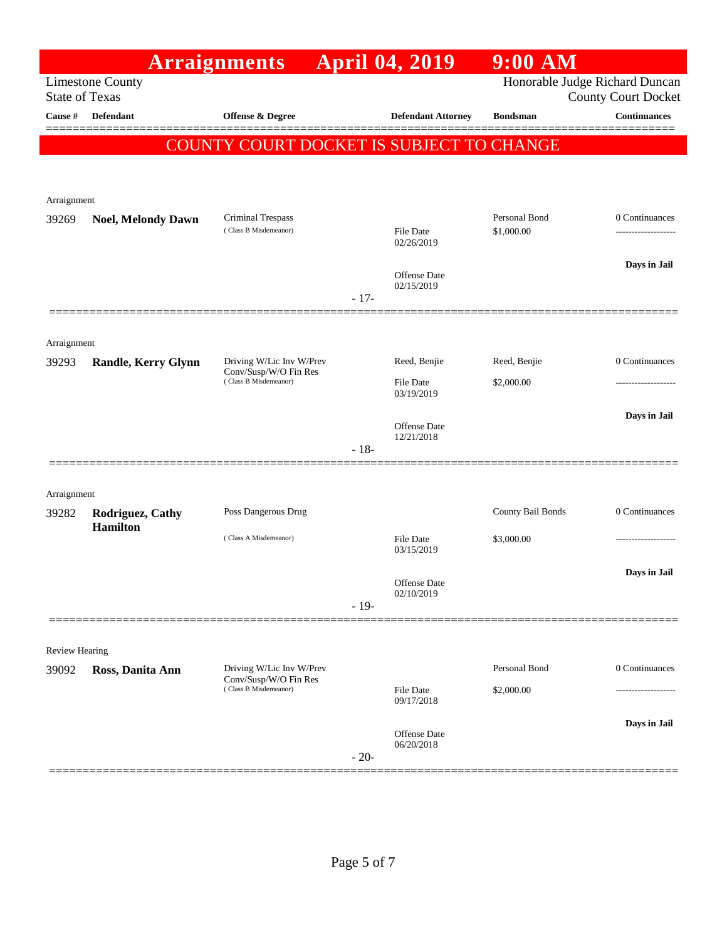|                                                  |                                     | <b>Arraignments</b>                               |        | <b>April 04, 2019</b>          | $9:00$ AM                                                    |                     |
|--------------------------------------------------|-------------------------------------|---------------------------------------------------|--------|--------------------------------|--------------------------------------------------------------|---------------------|
| <b>Limestone County</b><br><b>State of Texas</b> |                                     |                                                   |        |                                | Honorable Judge Richard Duncan<br><b>County Court Docket</b> |                     |
| Cause #                                          | Defendant                           | <b>Offense &amp; Degree</b>                       |        | <b>Defendant Attorney</b>      | <b>Bondsman</b>                                              | <b>Continuances</b> |
|                                                  |                                     | COUNTY COURT DOCKET IS SUBJECT TO CHANGE          |        |                                |                                                              |                     |
|                                                  |                                     |                                                   |        |                                |                                                              |                     |
| Arraignment                                      |                                     |                                                   |        |                                |                                                              |                     |
| 39269                                            | <b>Noel, Melondy Dawn</b>           | Criminal Trespass                                 |        |                                | Personal Bond                                                | 0 Continuances      |
|                                                  |                                     | (Class B Misdemeanor)                             |        | <b>File Date</b><br>02/26/2019 | \$1,000.00                                                   | -----------------   |
|                                                  |                                     |                                                   |        | Offense Date                   |                                                              | Days in Jail        |
|                                                  |                                     |                                                   | $-17-$ | 02/15/2019                     |                                                              |                     |
|                                                  |                                     |                                                   |        |                                |                                                              |                     |
| Arraignment                                      |                                     |                                                   |        |                                |                                                              |                     |
| 39293                                            | Randle, Kerry Glynn                 | Driving W/Lic Inv W/Prev<br>Conv/Susp/W/O Fin Res |        | Reed, Benjie                   | Reed, Benjie                                                 | 0 Continuances      |
|                                                  |                                     | (Class B Misdemeanor)                             |        | <b>File Date</b><br>03/19/2019 | \$2,000.00                                                   |                     |
|                                                  |                                     |                                                   |        | Offense Date                   |                                                              | Days in Jail        |
|                                                  |                                     |                                                   | $-18-$ | 12/21/2018                     |                                                              |                     |
|                                                  |                                     |                                                   |        |                                |                                                              |                     |
| Arraignment                                      |                                     |                                                   |        |                                |                                                              |                     |
| 39282                                            | Rodriguez, Cathy<br><b>Hamilton</b> | Poss Dangerous Drug                               |        |                                | County Bail Bonds                                            | 0 Continuances      |
|                                                  |                                     | (Class A Misdemeanor)                             |        | File Date<br>03/15/2019        | \$3,000.00                                                   | -----------------   |
|                                                  |                                     |                                                   |        |                                |                                                              | Days in Jail        |
|                                                  |                                     |                                                   |        | Offense Date<br>02/10/2019     |                                                              |                     |
|                                                  |                                     |                                                   | $-19-$ |                                |                                                              |                     |
| <b>Review Hearing</b>                            |                                     |                                                   |        |                                |                                                              |                     |
| 39092                                            | Ross, Danita Ann                    | Driving W/Lic Inv W/Prev                          |        |                                | Personal Bond                                                | 0 Continuances      |
|                                                  |                                     | Conv/Susp/W/O Fin Res<br>(Class B Misdemeanor)    |        | <b>File Date</b><br>09/17/2018 | \$2,000.00                                                   | -----------------   |
|                                                  |                                     |                                                   |        |                                |                                                              | Days in Jail        |
|                                                  |                                     |                                                   |        | Offense Date<br>06/20/2018     |                                                              |                     |
|                                                  |                                     |                                                   | $-20-$ |                                |                                                              |                     |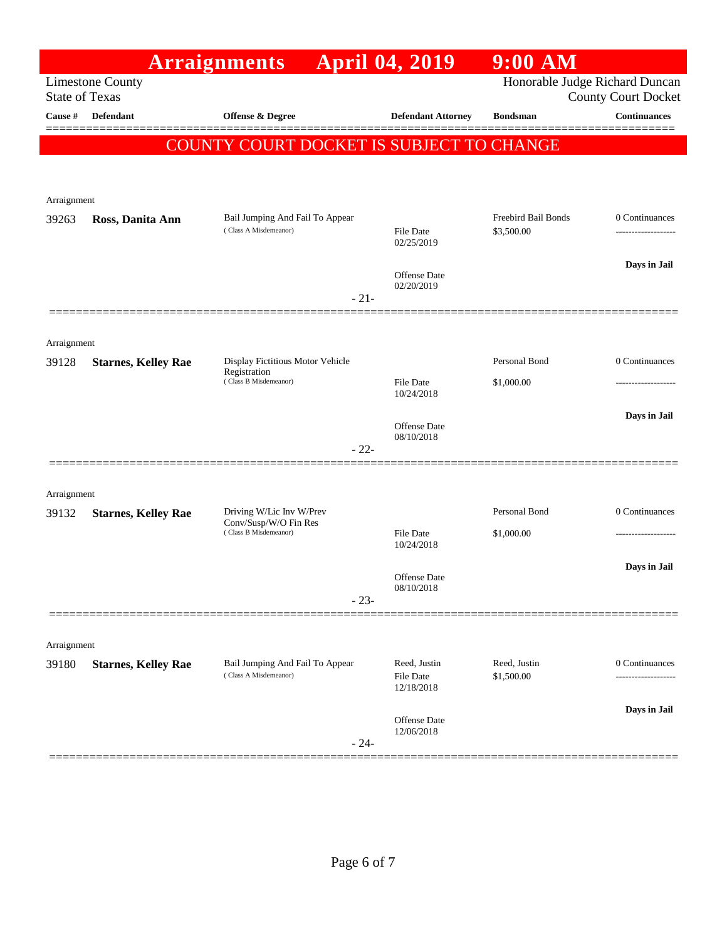|                       |                            | <b>Arraignments</b>                              | <b>April 04, 2019</b>          | $9:00$ AM                      |                            |
|-----------------------|----------------------------|--------------------------------------------------|--------------------------------|--------------------------------|----------------------------|
| <b>State of Texas</b> | <b>Limestone County</b>    |                                                  |                                | Honorable Judge Richard Duncan | <b>County Court Docket</b> |
| Cause #               | <b>Defendant</b>           | <b>Offense &amp; Degree</b>                      | <b>Defendant Attorney</b>      | <b>Bondsman</b>                | <b>Continuances</b>        |
|                       |                            | COUNTY COURT DOCKET IS SUBJECT TO CHANGE         |                                |                                |                            |
|                       |                            |                                                  |                                |                                |                            |
| Arraignment           |                            |                                                  |                                |                                |                            |
| 39263                 | Ross, Danita Ann           | Bail Jumping And Fail To Appear                  |                                | Freebird Bail Bonds            | 0 Continuances             |
|                       |                            | (Class A Misdemeanor)                            | File Date<br>02/25/2019        | \$3,500.00                     | -----------------          |
|                       |                            |                                                  | Offense Date                   |                                | Days in Jail               |
|                       |                            | $-21-$                                           | 02/20/2019                     |                                |                            |
|                       |                            |                                                  |                                |                                |                            |
| Arraignment           |                            |                                                  |                                |                                |                            |
| 39128                 | <b>Starnes, Kelley Rae</b> | Display Fictitious Motor Vehicle<br>Registration |                                | Personal Bond                  | 0 Continuances             |
|                       |                            | (Class B Misdemeanor)                            | <b>File Date</b><br>10/24/2018 | \$1,000.00                     |                            |
|                       |                            |                                                  |                                |                                | Days in Jail               |
|                       |                            |                                                  | Offense Date<br>08/10/2018     |                                |                            |
|                       |                            | $-22-$                                           |                                |                                |                            |
| Arraignment           |                            |                                                  |                                |                                |                            |
| 39132                 | <b>Starnes, Kelley Rae</b> | Driving W/Lic Inv W/Prev                         |                                | Personal Bond                  | 0 Continuances             |
|                       |                            | Conv/Susp/W/O Fin Res<br>(Class B Misdemeanor)   | <b>File Date</b><br>10/24/2018 | \$1,000.00                     | ------------------         |
|                       |                            |                                                  |                                |                                | Days in Jail               |
|                       |                            |                                                  | Offense Date<br>08/10/2018     |                                |                            |
|                       |                            | $-23-$                                           |                                |                                |                            |
|                       |                            |                                                  |                                |                                |                            |
| Arraignment<br>39180  | <b>Starnes, Kelley Rae</b> | Bail Jumping And Fail To Appear                  | Reed, Justin                   | Reed, Justin                   | 0 Continuances             |
|                       |                            | (Class A Misdemeanor)                            | <b>File Date</b><br>12/18/2018 | \$1,500.00                     |                            |
|                       |                            |                                                  |                                |                                | Days in Jail               |
|                       |                            |                                                  | Offense Date<br>12/06/2018     |                                |                            |
|                       |                            | $-24-$                                           |                                |                                |                            |